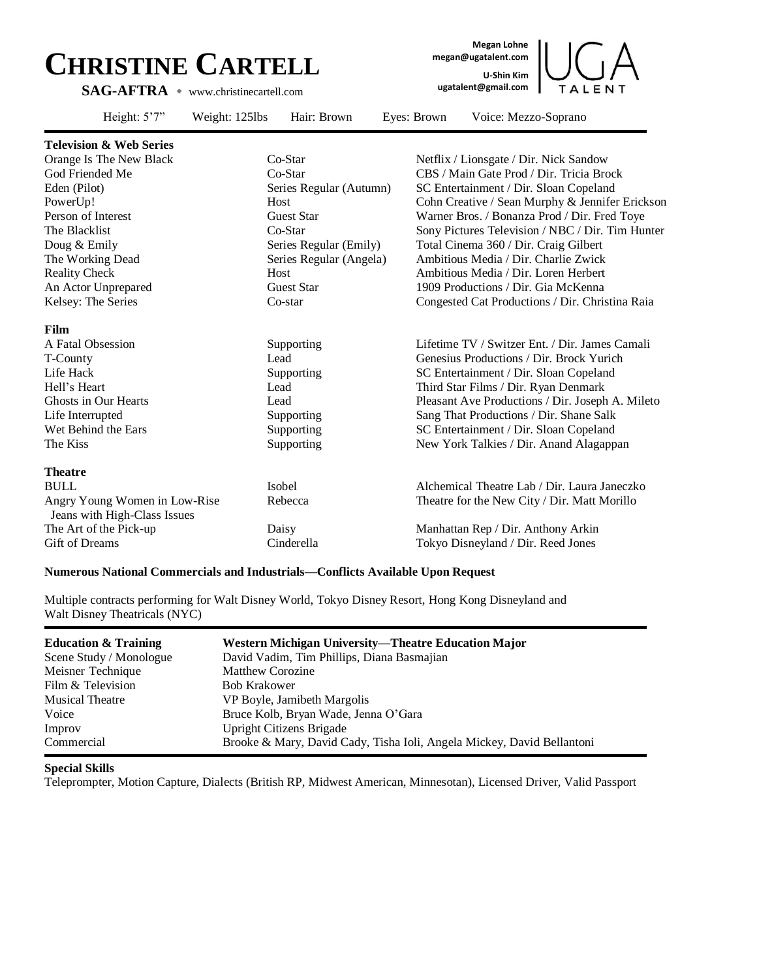## **CHRISTINE CARTELL SAG-AFTRA** ◆ www.christinecartell.com

**Megan Lohne megan@ugatalent.com U-Shin Kim ugatalent@gmail.com**



| Height: $5'7''$                                               | Weight: 125lbs | Hair: Brown             | Eyes: Brown | Voice: Mezzo-Soprano                             |
|---------------------------------------------------------------|----------------|-------------------------|-------------|--------------------------------------------------|
| <b>Television &amp; Web Series</b>                            |                |                         |             |                                                  |
| Orange Is The New Black                                       |                | Co-Star                 |             | Netflix / Lionsgate / Dir. Nick Sandow           |
| God Friended Me                                               |                | Co-Star                 |             | CBS / Main Gate Prod / Dir. Tricia Brock         |
| Eden (Pilot)                                                  |                | Series Regular (Autumn) |             | SC Entertainment / Dir. Sloan Copeland           |
| PowerUp!                                                      |                | Host                    |             | Cohn Creative / Sean Murphy & Jennifer Erickson  |
| Person of Interest                                            |                | <b>Guest Star</b>       |             | Warner Bros. / Bonanza Prod / Dir. Fred Toye     |
| The Blacklist                                                 |                | Co-Star                 |             | Sony Pictures Television / NBC / Dir. Tim Hunter |
| Doug & Emily                                                  |                | Series Regular (Emily)  |             | Total Cinema 360 / Dir. Craig Gilbert            |
| The Working Dead                                              |                | Series Regular (Angela) |             | Ambitious Media / Dir. Charlie Zwick             |
| <b>Reality Check</b>                                          |                | Host                    |             | Ambitious Media / Dir. Loren Herbert             |
| An Actor Unprepared                                           |                | <b>Guest Star</b>       |             | 1909 Productions / Dir. Gia McKenna              |
| Kelsey: The Series                                            |                | Co-star                 |             | Congested Cat Productions / Dir. Christina Raia  |
| Film                                                          |                |                         |             |                                                  |
| A Fatal Obsession                                             |                | Supporting              |             | Lifetime TV / Switzer Ent. / Dir. James Camali   |
| T-County                                                      |                | Lead                    |             | Genesius Productions / Dir. Brock Yurich         |
| Life Hack                                                     |                | Supporting              |             | SC Entertainment / Dir. Sloan Copeland           |
| Hell's Heart                                                  |                | Lead                    |             | Third Star Films / Dir. Ryan Denmark             |
| <b>Ghosts in Our Hearts</b>                                   |                | Lead                    |             | Pleasant Ave Productions / Dir. Joseph A. Mileto |
| Life Interrupted                                              |                | Supporting              |             | Sang That Productions / Dir. Shane Salk          |
| Wet Behind the Ears                                           |                | Supporting              |             | SC Entertainment / Dir. Sloan Copeland           |
| The Kiss                                                      |                | Supporting              |             | New York Talkies / Dir. Anand Alagappan          |
| <b>Theatre</b>                                                |                |                         |             |                                                  |
| <b>BULL</b>                                                   |                | Isobel                  |             | Alchemical Theatre Lab / Dir. Laura Janeczko     |
| Angry Young Women in Low-Rise<br>Jeans with High-Class Issues |                | Rebecca                 |             | Theatre for the New City / Dir. Matt Morillo     |
| The Art of the Pick-up                                        |                | Daisy                   |             | Manhattan Rep / Dir. Anthony Arkin               |
| <b>Gift of Dreams</b>                                         |                | Cinderella              |             | Tokyo Disneyland / Dir. Reed Jones               |

## **Numerous National Commercials and Industrials—Conflicts Available Upon Request**

Multiple contracts performing for Walt Disney World, Tokyo Disney Resort, Hong Kong Disneyland and Walt Disney Theatricals (NYC)

| <b>Education &amp; Training</b> | Western Michigan University—Theatre Education Major                    |
|---------------------------------|------------------------------------------------------------------------|
| Scene Study / Monologue         | David Vadim, Tim Phillips, Diana Basmajian                             |
| Meisner Technique               | <b>Matthew Corozine</b>                                                |
| Film & Television               | <b>Bob Krakower</b>                                                    |
| <b>Musical Theatre</b>          | VP Boyle, Jamibeth Margolis                                            |
| Voice                           | Bruce Kolb, Bryan Wade, Jenna O'Gara                                   |
| Improv                          | Upright Citizens Brigade                                               |
| Commercial                      | Brooke & Mary, David Cady, Tisha Ioli, Angela Mickey, David Bellantoni |

## **Special Skills**

Teleprompter, Motion Capture, Dialects (British RP, Midwest American, Minnesotan), Licensed Driver, Valid Passport